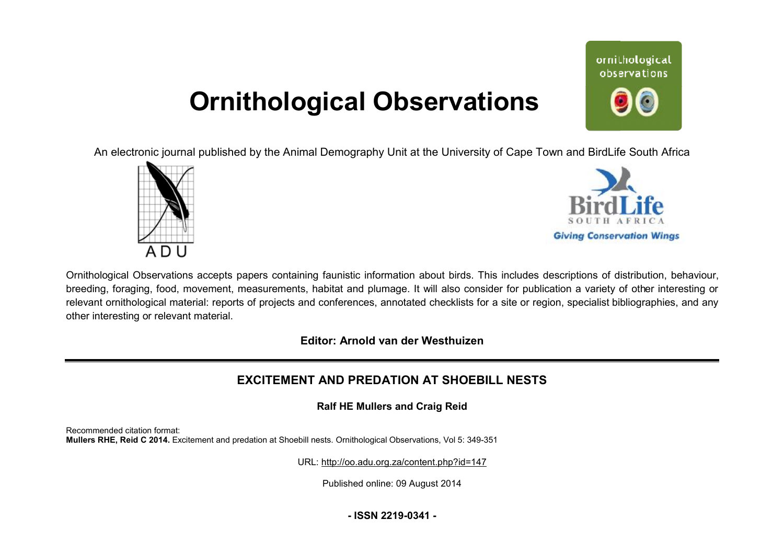# **Ornithological Observations**

ornithological observations

An electronic journal published by the Animal Demography Unit at the University of Cape Town and BirdLife South Africa





Ornithological Observations accepts papers containing faunistic information about birds. This includes descriptions of distribution, behaviour, breeding, foraging, food, movement, measurements, habitat and plumage. It will also consider for publication a variety of other interesting or relevant ornithological material: reports of projects and conferences, annotated checklists for a site or region, specialist bibliographies, and any other interesting or relevant material.

**Editor: Arnold van der Westhuizen**

### **EXCITEMENT AND PREDATION AT SHOEBILL NESTS**

**Ralf HE Mullers and Craig Reid**

Recommended citation format: **Mullers RHE, Reid C 2014.** Excitement and predation at Shoebill nests. Ornithological Observations, Vol 5: 349-351

URL: <http://oo.adu.org.za/content.php?id=147>

Published online: 09 August 2014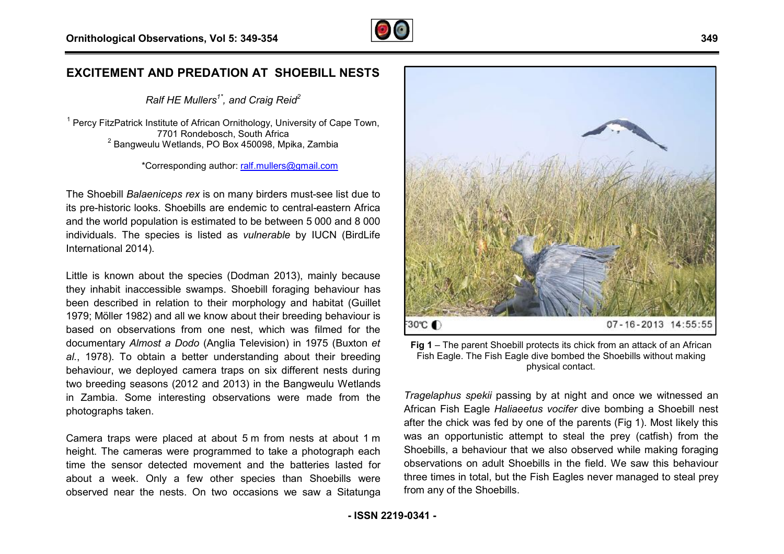

### **EXCITEMENT AND PREDATION AT SHOEBILL EDATION NESTS**

*Ralf HE Mullers1\* , and Craig Reid<sup>2</sup>*

<sup>1</sup> Percy FitzPatrick Institute of African Ornithology, University of Cape Town, 7701 Rondebosch, South Africa <sup>2</sup> Bangweulu Wetlands, PO Box 450098, Mpika, Zambia

\*Corresponding author: [ralf.mullers@gmail.com](mailto:ralf.mullers@gmail.com)

The Shoebill *Balaeniceps rex* is on many birders must-see list due to The Shoebill *Balaeniceps rex* is on many birders must-see list due to<br>its pre-historic looks. Shoebills are endemic to central-eastern Africa and the world population is estimated to be between 5 000 and 8 000 individuals. The species is listed as *vulnerable* by IUCN (BirdLife International 2014).

Little is known about the species (Dodman 2013), mainly because they inhabit inaccessible swamps. Shoebill foraging behaviour has been described in relation to their morphology and habitat (Guillet 1979; Möller 1982) and all we know about their breeding behaviour is based on observations from one nest, which was filmed for the documentary *Almost a Dodo* (Anglia Television) in 1975 (Buxton *et al.*, 1978). To obtain a better understanding about their breeding behaviour, we deployed camera traps on six different nests during two breeding seasons (2012 and 2013) in the Bangweulu Wetlands in Zambia. Some interesting observations were made from the photographs taken. To obtain a better understanding about their breeding.<br>
we deployed camera traps on six different nests during<br>
ing seasons (2012 and 2013) in the Bangweulu Wetlands<br>
a. Some interesting observations were made from the<br>
th

Camera traps were placed at about 5 m from nests at about 1 height. The cameras were programmed to take a photograph each time the sensor detected movement and the batteries lasted for about a week. Only a few other species than Shoebills were observed near the nests. On two occasions we saw a Sitatunga



Fish Eagle. The Fish Eagle dive bombed the Shoebills without making physical contact.

Fig 1 – The parent Shoebill protects its chick from an attack of an African<br>ig about their breeding<br>ix different nests during<br>the Fish Eagle. The Fish Eagle dive bombed the Shoebills without making<br>the Shoebills without ma *Tragelaphus spekii* passing by at night and once we witnessed an African Fish Eagle *Haliaeetus vocifer* dive bombing a Shoebill nest after the chick was fed by one of the parents (Fig 1). Most likely this was an opportunistic attempt to steal the prey (catfish) from the Shoebills, a behaviour that we also observed while making foraging observations on adult Shoebills in the field. We saw this behaviour three times in total, but the Fish Eagles never managed to steal prey from any of the Shoebills.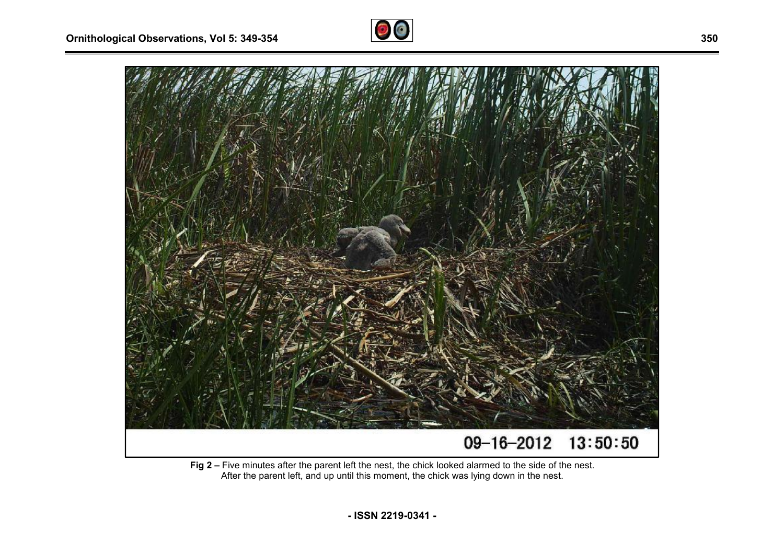



**Fig 2 –** Five minutes after the parent left the nest, the chick looked alarmed to the side of the nest. After the parent left, and up until this moment, the chick was lying down in the nest.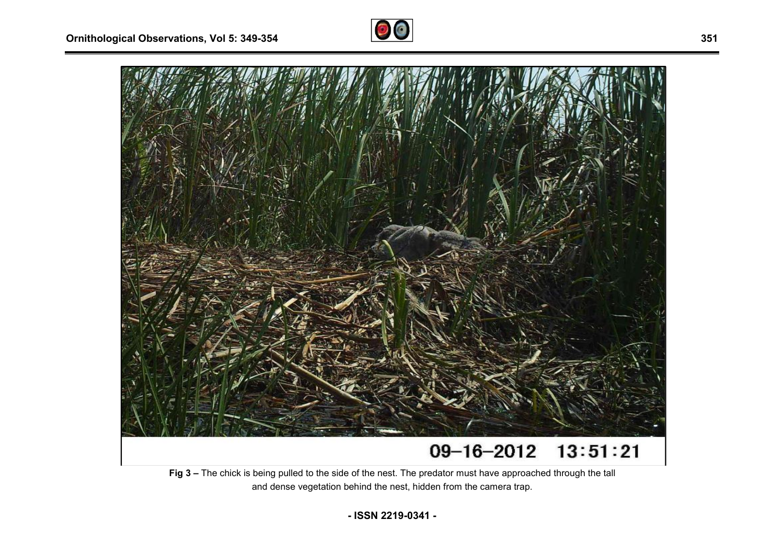



## **Fig 3 –** The chick is being pulled to the side of the nest. The predator must have approached through the tall

and dense vegetation behind the nest, hidden from the camera trap.

**- ISSN 2219-0341 -**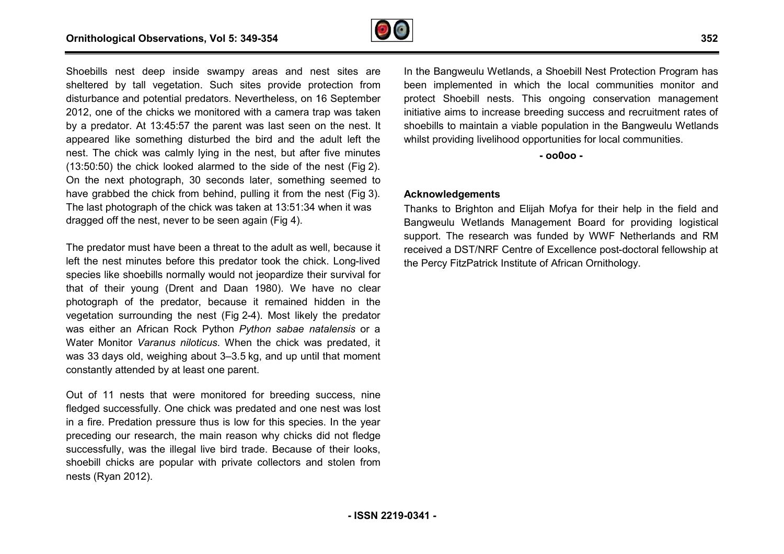

Shoebills nest deep inside swampy areas and nest sites are sheltered by tall vegetation. Such sites provide protection from disturbance and potential predators. Nevertheless, on 16 September 2012, one of the chicks we monitored with a camera trap was taken by a predator. At 13:45:57 the parent was last seen on the nest. It appeared like something disturbed the bird and the adult left the nest. The chick was calmly lying in the nest, but after five minutes (13:50:50) the chick looked alarmed to the side of the nest (Fig 2). On the next photograph, 30 seconds later, something seemed to have grabbed the chick from behind, pulling it from the nest (Fig 3). The last photograph of the chick was taken at 13:51:34 when it was dragged off the nest, never to be seen again (Fig 4). nce and potential predators. Nevertheless, on 16 September<br>ne of the chicks we monitored with a camera trap was taken<br>edator. At 13:45:57 the parent was last seen on the nest. It<br>d like something disturbed the bird and the Thoebills nest deep inside swampy areas and nest slies are in the Bangweulu Wetlands, a Shoebill Nest Protection Program has the Shoebill Nest Protection Program has the Continuental product and the line in the line in the

The predator must have been a threat to the adult as well, because it left the nest minutes before this predator took the chick. Long-lived species like shoebills normally would not jeopardize their survival for that of their young (Drent and Daan 1980). We have no clear photograph of the predator, because it remained hidden in the photograph of the predator, because it remained hidden in the<br>vegetation surrounding the nest (Fig 2-4). Most likely the predator was either an African Rock Python *Python sabae natalensis* or a Water Monitor Varanus niloticus. When the chick was predated, it was 33 days old, weighing about 3–3.5 kg, and up until that moment constantly attended by at least one parent.

Out of 11 nests that were monitored for breeding success, nine fledged successfully. One chick was predated and one nest was lost in a fire. Predation pressure thus is low for this species. In the year preceding our research, the main reason why chicks did not fledge successfully, was the illegal live bird trade. Because of their looks, shoebill chicks are popular with private collectors and stolen from nests (Ryan 2012).

been implemented in which the local communities monitor and protect Shoebill nests. This ongoing conservation management initiative aims to increase breeding success and recruitment rates of shoebills to maintain a viable population in the Bangweulu Wetlands whilst providing livelihood opportunities for local communities. hoebill Nest Protection Program has<br>he local communities monitor and<br>pngoing conservation management

**- oo0oo -** 

### **Acknowledgements**

Thanks to Brighton and Elijah Mofya for their help in the field and Bangweulu Wetlands Management Board for providing logistical support. The research was funded by WWF Netherlands and RM received a DST/NRF Centre of Excellence postthe Percy FitzPatrick Institute of African Ornithology. hoebills to maintain a viable population in the Bangweulu Wetlands<br>
hilst providing livelihood opportunities for local communities.<br>
- **o0000 -**<br> **And Cocknowledgements**<br>
hanks to Brighton and Elijah Mofya for their help i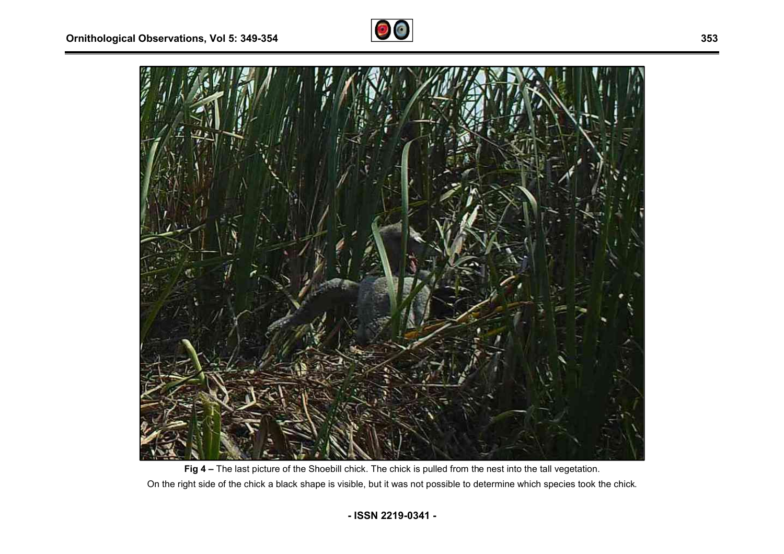



**Fig 4 –** The last picture of the Shoebill chick. The chick is pulled from the nest into the tall vegetation. On the right side of the chick a black shape is visible, but it was not possible to determine which species took the chick.